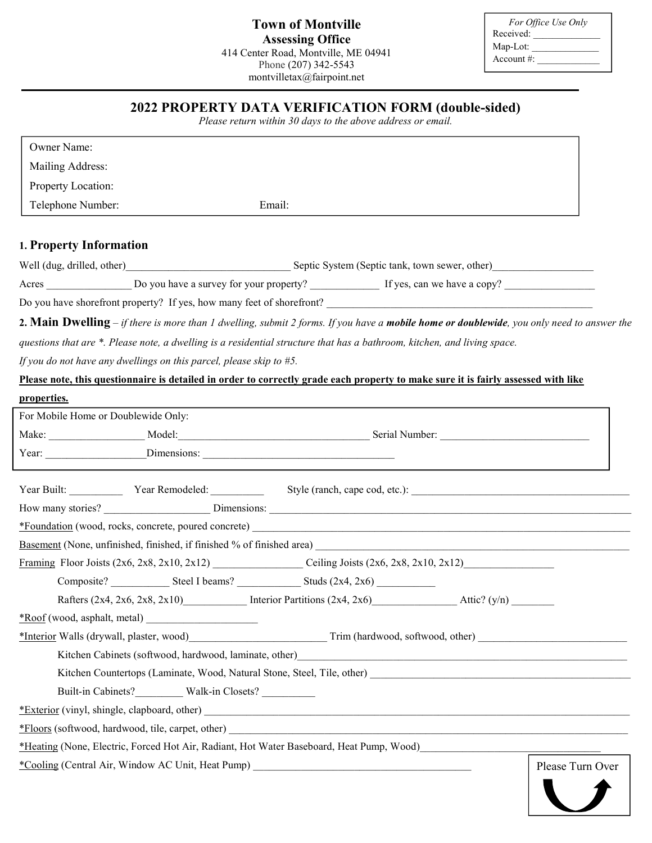| For Office Use Only |  |
|---------------------|--|
| Received:           |  |
| Map-Lot:            |  |
| Account $\#$ :      |  |

# 2022 PROPERTY DATA VERIFICATION FORM (double-sided)

Please return within 30 days to the above address or email.

| Owner Name:                                                                                                                               |                                                                           |  |                  |  |
|-------------------------------------------------------------------------------------------------------------------------------------------|---------------------------------------------------------------------------|--|------------------|--|
| Mailing Address:                                                                                                                          |                                                                           |  |                  |  |
| Property Location:                                                                                                                        |                                                                           |  |                  |  |
| Telephone Number:                                                                                                                         | Email:                                                                    |  |                  |  |
|                                                                                                                                           |                                                                           |  |                  |  |
| 1. Property Information                                                                                                                   |                                                                           |  |                  |  |
| Well (dug, drilled, other) Septic System (Septic tank, town sewer, other) Septic Rystem (Septic tank, town sewer, other)                  |                                                                           |  |                  |  |
|                                                                                                                                           |                                                                           |  |                  |  |
| Do you have shorefront property? If yes, how many feet of shorefront?                                                                     |                                                                           |  |                  |  |
| 2. Main Dwelling - if there is more than 1 dwelling, submit 2 forms. If you have a mobile home or doublewide, you only need to answer the |                                                                           |  |                  |  |
| questions that are *. Please note, a dwelling is a residential structure that has a bathroom, kitchen, and living space.                  |                                                                           |  |                  |  |
| If you do not have any dwellings on this parcel, please skip to $#5$ .                                                                    |                                                                           |  |                  |  |
| Please note, this questionnaire is detailed in order to correctly grade each property to make sure it is fairly assessed with like        |                                                                           |  |                  |  |
| properties.                                                                                                                               |                                                                           |  |                  |  |
| For Mobile Home or Doublewide Only:                                                                                                       |                                                                           |  |                  |  |
|                                                                                                                                           |                                                                           |  |                  |  |
|                                                                                                                                           |                                                                           |  |                  |  |
| Year Built: Year Remodeled: Style (ranch, cape cod, etc.): \[\]                                                                           |                                                                           |  |                  |  |
|                                                                                                                                           |                                                                           |  |                  |  |
|                                                                                                                                           |                                                                           |  |                  |  |
|                                                                                                                                           |                                                                           |  |                  |  |
|                                                                                                                                           |                                                                           |  |                  |  |
|                                                                                                                                           |                                                                           |  |                  |  |
|                                                                                                                                           | Rafters (2x4, 2x6, 2x8, 2x10) Interior Partitions (2x4, 2x6) Attic? (y/n) |  |                  |  |
|                                                                                                                                           |                                                                           |  |                  |  |
|                                                                                                                                           |                                                                           |  |                  |  |
|                                                                                                                                           |                                                                           |  |                  |  |
|                                                                                                                                           |                                                                           |  |                  |  |
| Built-in Cabinets?____________ Walk-in Closets? _________________________________                                                         |                                                                           |  |                  |  |
|                                                                                                                                           |                                                                           |  |                  |  |
|                                                                                                                                           |                                                                           |  |                  |  |
| *Heating (None, Electric, Forced Hot Air, Radiant, Hot Water Baseboard, Heat Pump, Wood)                                                  |                                                                           |  |                  |  |
| *Cooling (Central Air, Window AC Unit, Heat Pump) _______________________________                                                         |                                                                           |  | Please Turn Over |  |
|                                                                                                                                           |                                                                           |  |                  |  |